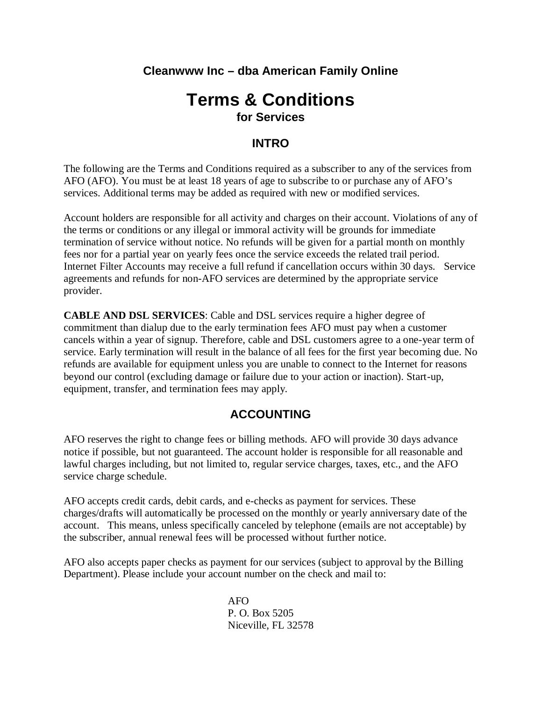**Cleanwww Inc – dba American Family Online**

# **Terms & Conditions for Services**

## **INTRO**

The following are the Terms and Conditions required as a subscriber to any of the services from AFO (AFO). You must be at least 18 years of age to subscribe to or purchase any of AFO's services. Additional terms may be added as required with new or modified services.

Account holders are responsible for all activity and charges on their account. Violations of any of the terms or conditions or any illegal or immoral activity will be grounds for immediate termination of service without notice. No refunds will be given for a partial month on monthly fees nor for a partial year on yearly fees once the service exceeds the related trail period. Internet Filter Accounts may receive a full refund if cancellation occurs within 30 days. Service agreements and refunds for non-AFO services are determined by the appropriate service provider.

**CABLE AND DSL SERVICES**: Cable and DSL services require a higher degree of commitment than dialup due to the early termination fees AFO must pay when a customer cancels within a year of signup. Therefore, cable and DSL customers agree to a one-year term of service. Early termination will result in the balance of all fees for the first year becoming due. No refunds are available for equipment unless you are unable to connect to the Internet for reasons beyond our control (excluding damage or failure due to your action or inaction). Start-up, equipment, transfer, and termination fees may apply.

# **ACCOUNTING**

AFO reserves the right to change fees or billing methods. AFO will provide 30 days advance notice if possible, but not guaranteed. The account holder is responsible for all reasonable and lawful charges including, but not limited to, regular service charges, taxes, etc., and the AFO service charge schedule.

AFO accepts credit cards, debit cards, and e-checks as payment for services. These charges/drafts will automatically be processed on the monthly or yearly anniversary date of the account. This means, unless specifically canceled by telephone (emails are not acceptable) by the subscriber, annual renewal fees will be processed without further notice.

AFO also accepts paper checks as payment for our services (subject to approval by the Billing Department). Please include your account number on the check and mail to:

> AFO P. O. Box 5205 Niceville, FL 32578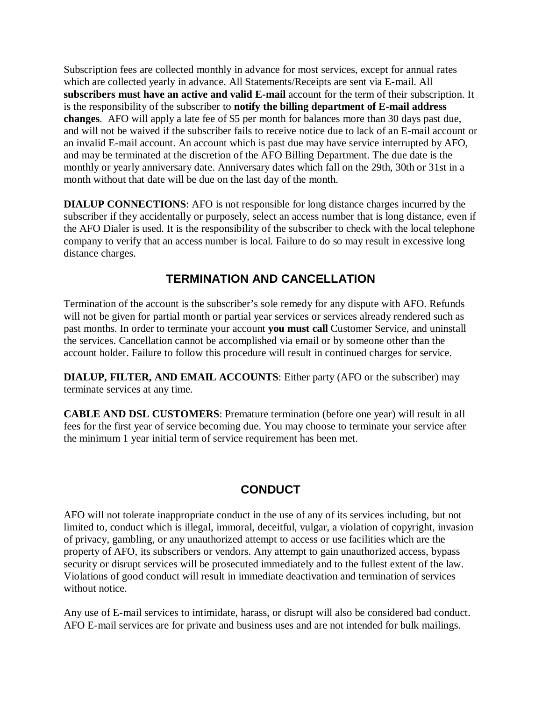Subscription fees are collected monthly in advance for most services, except for annual rates which are collected yearly in advance. All Statements/Receipts are sent via E-mail. All **subscribers must have an active and valid E-mail** account for the term of their subscription. It is the responsibility of the subscriber to **notify the billing department of E-mail address changes**. AFO will apply a late fee of \$5 per month for balances more than 30 days past due, and will not be waived if the subscriber fails to receive notice due to lack of an E-mail account or an invalid E-mail account. An account which is past due may have service interrupted by AFO, and may be terminated at the discretion of the AFO Billing Department. The due date is the monthly or yearly anniversary date. Anniversary dates which fall on the 29th, 30th or 31st in a month without that date will be due on the last day of the month.

**DIALUP CONNECTIONS**: AFO is not responsible for long distance charges incurred by the subscriber if they accidentally or purposely, select an access number that is long distance, even if the AFO Dialer is used. It is the responsibility of the subscriber to check with the local telephone company to verify that an access number is local. Failure to do so may result in excessive long distance charges.

# **TERMINATION AND CANCELLATION**

Termination of the account is the subscriber's sole remedy for any dispute with AFO. Refunds will not be given for partial month or partial year services or services already rendered such as past months. In order to terminate your account **you must call** Customer Service, and uninstall the services. Cancellation cannot be accomplished via email or by someone other than the account holder. Failure to follow this procedure will result in continued charges for service.

**DIALUP, FILTER, AND EMAIL ACCOUNTS**: Either party (AFO or the subscriber) may terminate services at any time.

**CABLE AND DSL CUSTOMERS**: Premature termination (before one year) will result in all fees for the first year of service becoming due. You may choose to terminate your service after the minimum 1 year initial term of service requirement has been met.

# **CONDUCT**

AFO will not tolerate inappropriate conduct in the use of any of its services including, but not limited to, conduct which is illegal, immoral, deceitful, vulgar, a violation of copyright, invasion of privacy, gambling, or any unauthorized attempt to access or use facilities which are the property of AFO, its subscribers or vendors. Any attempt to gain unauthorized access, bypass security or disrupt services will be prosecuted immediately and to the fullest extent of the law. Violations of good conduct will result in immediate deactivation and termination of services without notice.

Any use of E-mail services to intimidate, harass, or disrupt will also be considered bad conduct. AFO E-mail services are for private and business uses and are not intended for bulk mailings.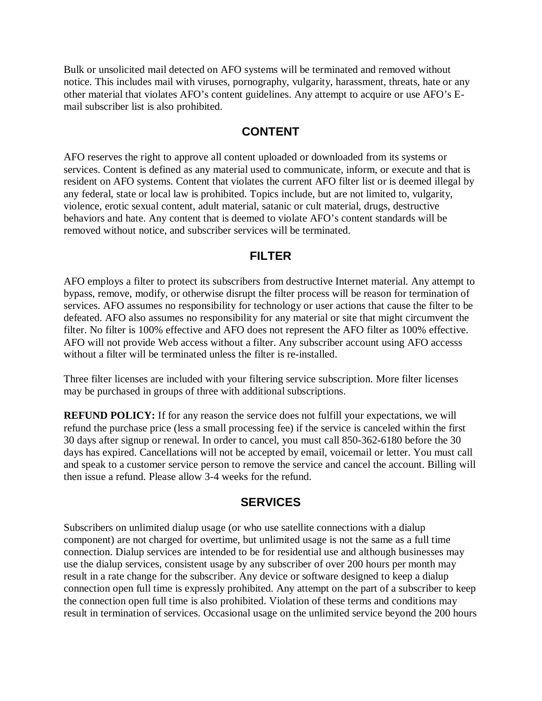Bulk or unsolicited mail detected on AFO systems will be terminated and removed without notice. This includes mail with viruses, pornography, vulgarity, harassment, threats, hate or any other material that violates AFO's content guidelines. Any attempt to acquire or use AFO's Email subscriber list is also prohibited.

#### **CONTENT**

AFO reserves the right to approve all content uploaded or downloaded from its systems or services. Content is defined as any material used to communicate, inform, or execute and that is resident on AFO systems. Content that violates the current AFO filter list or is deemed illegal by any federal, state or local law is prohibited. Topics include, but are not limited to, vulgarity, violence, erotic sexual content, adult material, satanic or cult material, drugs, destructive behaviors and hate. Any content that is deemed to violate AFO's content standards will be removed without notice, and subscriber services will be terminated.

#### **FILTER**

AFO employs a filter to protect its subscribers from destructive Internet material. Any attempt to bypass, remove, modify, or otherwise disrupt the filter process will be reason for termination of services. AFO assumes no responsibility for technology or user actions that cause the filter to be defeated. AFO also assumes no responsibility for any material or site that might circumvent the filter. No filter is 100% effective and AFO does not represent the AFO filter as 100% effective. AFO will not provide Web access without a filter. Any subscriber account using AFO accesss without a filter will be terminated unless the filter is re-installed.

Three filter licenses are included with your filtering service subscription. More filter licenses may be purchased in groups of three with additional subscriptions.

**REFUND POLICY:** If for any reason the service does not fulfill your expectations, we will refund the purchase price (less a small processing fee) if the service is canceled within the first 30 days after signup or renewal. In order to cancel, you must call 850-362-6180 before the 30 days has expired. Cancellations will not be accepted by email, voicemail or letter. You must call and speak to a customer service person to remove the service and cancel the account. Billing will then issue a refund. Please allow 3-4 weeks for the refund.

#### **SERVICES**

Subscribers on unlimited dialup usage (or who use satellite connections with a dialup component) are not charged for overtime, but unlimited usage is not the same as a full time connection. Dialup services are intended to be for residential use and although businesses may use the dialup services, consistent usage by any subscriber of over 200 hours per month may result in a rate change for the subscriber. Any device or software designed to keep a dialup connection open full time is expressly prohibited. Any attempt on the part of a subscriber to keep the connection open full time is also prohibited. Violation of these terms and conditions may result in termination of services. Occasional usage on the unlimited service beyond the 200 hours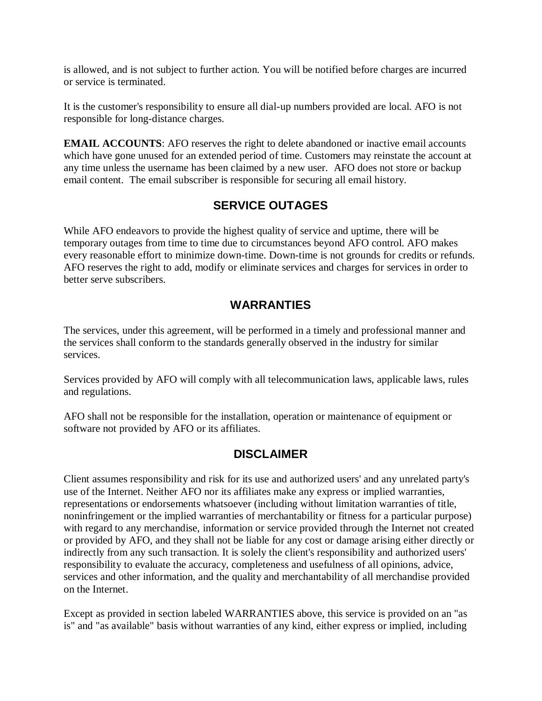is allowed, and is not subject to further action. You will be notified before charges are incurred or service is terminated.

It is the customer's responsibility to ensure all dial-up numbers provided are local. AFO is not responsible for long-distance charges.

**EMAIL ACCOUNTS:** AFO reserves the right to delete abandoned or inactive email accounts which have gone unused for an extended period of time. Customers may reinstate the account at any time unless the username has been claimed by a new user. AFO does not store or backup email content. The email subscriber is responsible for securing all email history.

## **SERVICE OUTAGES**

While AFO endeavors to provide the highest quality of service and uptime, there will be temporary outages from time to time due to circumstances beyond AFO control. AFO makes every reasonable effort to minimize down-time. Down-time is not grounds for credits or refunds. AFO reserves the right to add, modify or eliminate services and charges for services in order to better serve subscribers.

## **WARRANTIES**

The services, under this agreement, will be performed in a timely and professional manner and the services shall conform to the standards generally observed in the industry for similar services.

Services provided by AFO will comply with all telecommunication laws, applicable laws, rules and regulations.

AFO shall not be responsible for the installation, operation or maintenance of equipment or software not provided by AFO or its affiliates.

### **DISCLAIMER**

Client assumes responsibility and risk for its use and authorized users' and any unrelated party's use of the Internet. Neither AFO nor its affiliates make any express or implied warranties, representations or endorsements whatsoever (including without limitation warranties of title, noninfringement or the implied warranties of merchantability or fitness for a particular purpose) with regard to any merchandise, information or service provided through the Internet not created or provided by AFO, and they shall not be liable for any cost or damage arising either directly or indirectly from any such transaction. It is solely the client's responsibility and authorized users' responsibility to evaluate the accuracy, completeness and usefulness of all opinions, advice, services and other information, and the quality and merchantability of all merchandise provided on the Internet.

Except as provided in section labeled WARRANTIES above, this service is provided on an "as is" and "as available" basis without warranties of any kind, either express or implied, including